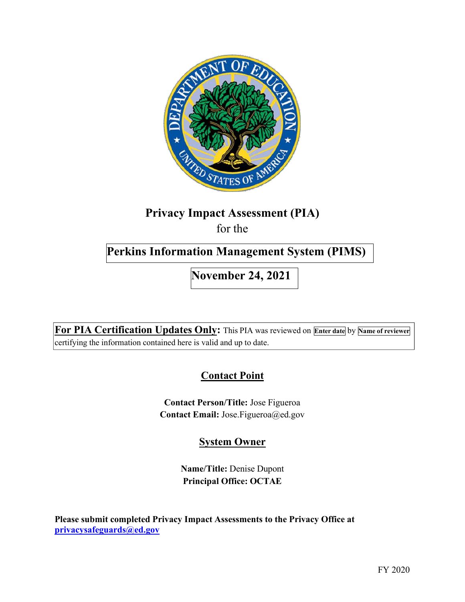

# **Privacy Impact Assessment (PIA)**

for the

# **Perkins Information Management System (PIMS)**

**November 24, 2021** 

 **For PIA Certification Updates Only:** This PIA was reviewed on **Enter date** by **Name of reviewer**  certifying the information contained here is valid and up to date.

# **Contact Point**

 **Contact Person/Title:** Jose Figueroa  **Contact Email:** [Jose.Figueroa@ed.gov](mailto:Jose.Figueroa@ed.gov)

## **System Owner**

 **Name/Title:** Denise Dupont  **Principal Office: OCTAE** 

 **Please submit completed Privacy Impact Assessments to the Privacy Office at [privacysafeguards@ed.gov](mailto:privacysafeguards@ed.gov)**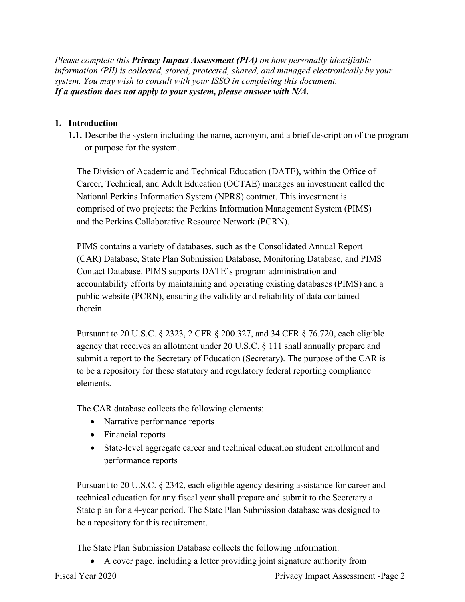*information (PII) is collected, stored, protected, shared, and managed electronically by your system. You may wish to consult with your ISSO in completing this document. If a question does not apply to your system, please answer with N/A. Please complete this Privacy Impact Assessment (PIA) on how personally identifiable* 

## **1. Introduction**

 **1.1.** Describe the system including the name, acronym, and a brief description of the program or purpose for the system.

and the Perkins Collaborative Resource Network (PCRN). The Division of Academic and Technical Education (DATE), within the Office of Career, Technical, and Adult Education (OCTAE) manages an investment called the National Perkins Information System (NPRS) contract. This investment is comprised of two projects: the Perkins Information Management System (PIMS)

PIMS contains a variety of databases, such as the Consolidated Annual Report (CAR) Database, State Plan Submission Database, Monitoring Database, and PIMS Contact Database. PIMS supports DATE's program administration and accountability efforts by maintaining and operating existing databases (PIMS) and a public website (PCRN), ensuring the validity and reliability of data contained therein.

 Pursuant to 20 U.S.C. § 2323, 2 CFR § 200.327, and 34 CFR § 76.720, each eligible to be a repository for these statutory and regulatory federal reporting compliance agency that receives an allotment under 20 U.S.C. § 111 shall annually prepare and submit a report to the Secretary of Education (Secretary). The purpose of the CAR is elements.

The CAR database collects the following elements:

- Narrative performance reports
- Financial reports
- State-level aggregate career and technical education student enrollment and performance reports

 technical education for any fiscal year shall prepare and submit to the Secretary a Pursuant to 20 U.S.C. § 2342, each eligible agency desiring assistance for career and State plan for a 4-year period. The State Plan Submission database was designed to be a repository for this requirement.

The State Plan Submission Database collects the following information:

• A cover page, including a letter providing joint signature authority from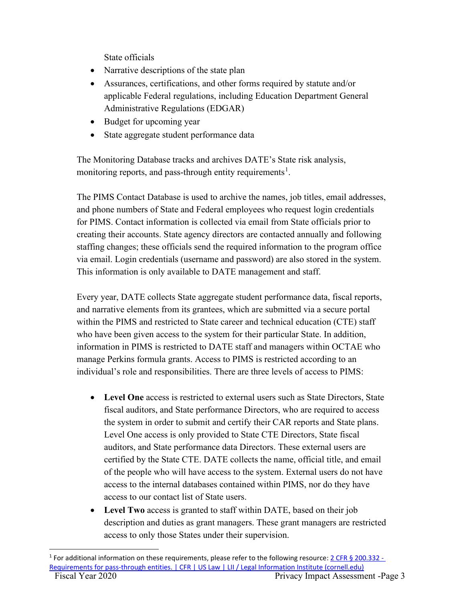State officials

- Narrative descriptions of the state plan
- Assurances, certifications, and other forms required by statute and/or applicable Federal regulations, including Education Department General Administrative Regulations (EDGAR)
- Budget for upcoming year
- State aggregate student performance data

The Monitoring Database tracks and archives DATE's State risk analysis, monitoring reports, and pass-through entity requirements<sup>1</sup>.

 for PIMS. Contact information is collected via email from State officials prior to The PIMS Contact Database is used to archive the names, job titles, email addresses, and phone numbers of State and Federal employees who request login credentials creating their accounts. State agency directors are contacted annually and following staffing changes; these officials send the required information to the program office via email. Login credentials (username and password) are also stored in the system. This information is only available to DATE management and staff.

Every year, DATE collects State aggregate student performance data, fiscal reports, and narrative elements from its grantees, which are submitted via a secure portal within the PIMS and restricted to State career and technical education (CTE) staff who have been given access to the system for their particular State. In addition, information in PIMS is restricted to DATE staff and managers within OCTAE who manage Perkins formula grants. Access to PIMS is restricted according to an individual's role and responsibilities. There are three levels of access to PIMS:

- fiscal auditors, and State performance Directors, who are required to access certified by the State CTE. DATE collects the name, official title, and email • **Level One** access is restricted to external users such as State Directors, State the system in order to submit and certify their CAR reports and State plans. Level One access is only provided to State CTE Directors, State fiscal auditors, and State performance data Directors. These external users are of the people who will have access to the system. External users do not have access to the internal databases contained within PIMS, nor do they have access to our contact list of State users.
- **Level Two** access is granted to staff within DATE, based on their job description and duties as grant managers. These grant managers are restricted access to only those States under their supervision.

Requirements for pass-through entities. | CFR | US Law | LII / Legal Information Institute ([cornell.edu](https://cornell.edu)) <sup>1</sup> For additional information on these requirements, please refer to the following resource: 2 CFR § 200.332 -Fiscal Year 2020 Privacy Impact Assessment -Page 3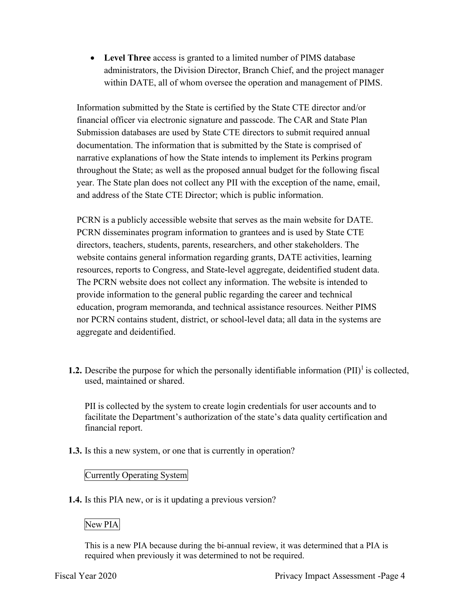• **Level Three** access is granted to a limited number of PIMS database administrators, the Division Director, Branch Chief, and the project manager within DATE, all of whom oversee the operation and management of PIMS.

 Information submitted by the State is certified by the State CTE director and/or financial officer via electronic signature and passcode. The CAR and State Plan Submission databases are used by State CTE directors to submit required annual documentation. The information that is submitted by the State is comprised of narrative explanations of how the State intends to implement its Perkins program throughout the State; as well as the proposed annual budget for the following fiscal year. The State plan does not collect any PII with the exception of the name, email, and address of the State CTE Director; which is public information.

 PCRN is a publicly accessible website that serves as the main website for DATE. PCRN disseminates program information to grantees and is used by State CTE directors, teachers, students, parents, researchers, and other stakeholders. The website contains general information regarding grants, DATE activities, learning resources, reports to Congress, and State-level aggregate, deidentified student data. The PCRN website does not collect any information. The website is intended to provide information to the general public regarding the career and technical education, program memoranda, and technical assistance resources. Neither PIMS nor PCRN contains student, district, or school-level data; all data in the systems are aggregate and deidentified.

**1.2.** Describe the purpose for which the personally identifiable information  $(PII)^{1}$  is collected, used, maintained or shared.

 PII is collected by the system to create login credentials for user accounts and to facilitate the Department's authorization of the state's data quality certification and financial report.

**1.3.** Is this a new system, or one that is currently in operation?

## Currently Operating System

**1.4.** Is this PIA new, or is it updating a previous version?

## New PIA

 This is a new PIA because during the bi-annual review, it was determined that a PIA is required when previously it was determined to not be required.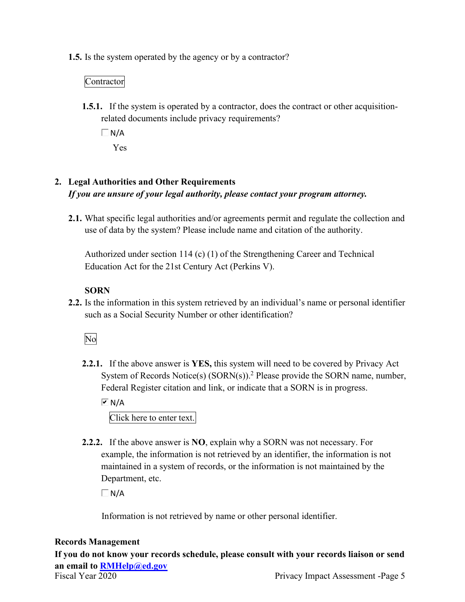**1.5.** Is the system operated by the agency or by a contractor?

## Contractor

- **1.5.1.** If the system is operated by a contractor, does the contract or other acquisitionrelated documents include privacy requirements?
	- $\Box$  N/A
		- Yes

## **2. Legal Authorities and Other Requirements**   *If you are unsure of your legal authority, please contact your program attorney.*

 **2.1.** What specific legal authorities and/or agreements permit and regulate the collection and use of data by the system? Please include name and citation of the authority.

 Authorized under section 114 (c) (1) of the Strengthening Career and Technical Education Act for the 21st Century Act (Perkins V).

## **SORN**

 **2.2.** Is the information in this system retrieved by an individual's name or personal identifier such as a Social Security Number or other identification?

## No

System of Records Notice(s) (SORN(s)).<sup>2</sup> Please provide the SORN name, number, Federal Register citation and link, or indicate that a SORN is in progress. **2.2.1.** If the above answer is **YES,** this system will need to be covered by Privacy Act

 $\overline{M}$  N/A

Click here to enter text.

 **2.2.2.** If the above answer is **NO**, explain why a SORN was not necessary. For Department, etc. example, the information is not retrieved by an identifier, the information is not maintained in a system of records, or the information is not maintained by the

 $\Box$  N/A

Information is not retrieved by name or other personal identifier.

## **Records Management**

**If you do not know your records schedule, please consult with your records liaison or send an email to [RMHelp@ed.gov](mailto:RMHelp@ed.gov)**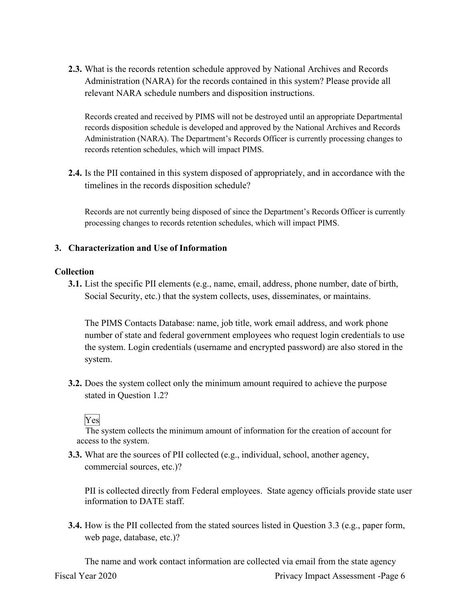relevant NARA schedule numbers and disposition instructions. **2.3.** What is the records retention schedule approved by National Archives and Records Administration (NARA) for the records contained in this system? Please provide all

 records disposition schedule is developed and approved by the National Archives and Records Records created and received by PIMS will not be destroyed until an appropriate Departmental Administration (NARA). The Department's Records Officer is currently processing changes to records retention schedules, which will impact PIMS.

 **2.4.** Is the PII contained in this system disposed of appropriately, and in accordance with the timelines in the records disposition schedule?

 Records are not currently being disposed of since the Department's Records Officer is currently processing changes to records retention schedules, which will impact PIMS.

#### **3. Characterization and Use of Information**

#### **Collection**

 **3.1.** List the specific PII elements (e.g., name, email, address, phone number, date of birth, Social Security, etc.) that the system collects, uses, disseminates, or maintains.

 the system. Login credentials (username and encrypted password) are also stored in the The PIMS Contacts Database: name, job title, work email address, and work phone number of state and federal government employees who request login credentials to use system.

**3.2.** Does the system collect only the minimum amount required to achieve the purpose stated in Question 1.2?

## Yes

 access to the system. The system collects the minimum amount of information for the creation of account for

 **3.3.** What are the sources of PII collected (e.g., individual, school, another agency, commercial sources, etc.)?

 PII is collected directly from Federal employees. State agency officials provide state user information to DATE staff.

**3.4.** How is the PII collected from the stated sources listed in Question 3.3 (e.g., paper form, web page, database, etc.)?

The name and work contact information are collected via email from the state agency Fiscal Year 2020 Privacy Impact Assessment -Page 6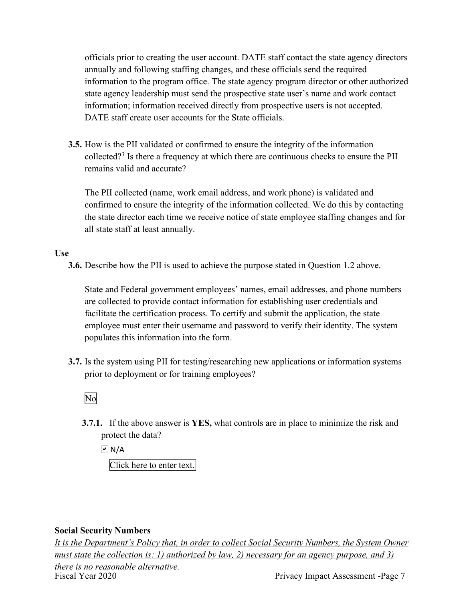officials prior to creating the user account. DATE staff contact the state agency directors annually and following staffing changes, and these officials send the required information to the program office. The state agency program director or other authorized state agency leadership must send the prospective state user's name and work contact information; information received directly from prospective users is not accepted. DATE staff create user accounts for the State officials.

**3.5.** How is the PII validated or confirmed to ensure the integrity of the information collected?3 Is there a frequency at which there are continuous checks to ensure the PII remains valid and accurate?

The PII collected (name, work email address, and work phone) is validated and confirmed to ensure the integrity of the information collected. We do this by contacting the state director each time we receive notice of state employee staffing changes and for all state staff at least annually.

#### **Use**

**3.6.** Describe how the PII is used to achieve the purpose stated in Question 1.2 above.

 facilitate the certification process. To certify and submit the application, the state populates this information into the form. State and Federal government employees' names, email addresses, and phone numbers are collected to provide contact information for establishing user credentials and employee must enter their username and password to verify their identity. The system

**3.7.** Is the system using PII for testing/researching new applications or information systems prior to deployment or for training employees?

No

 protect the data? **3.7.1.** If the above answer is **YES,** what controls are in place to minimize the risk and

 $\overline{M}$  N/A

Click here to enter text.

#### **Social Security Numbers**

 *It is the Department's Policy that, in order to collect Social Security Numbers, the System Owner there is no reasonable alternative. must state the collection is: 1) authorized by law, 2) necessary for an agency purpose, and 3)*  Fiscal Year 2020 Privacy Impact Assessment -Page 7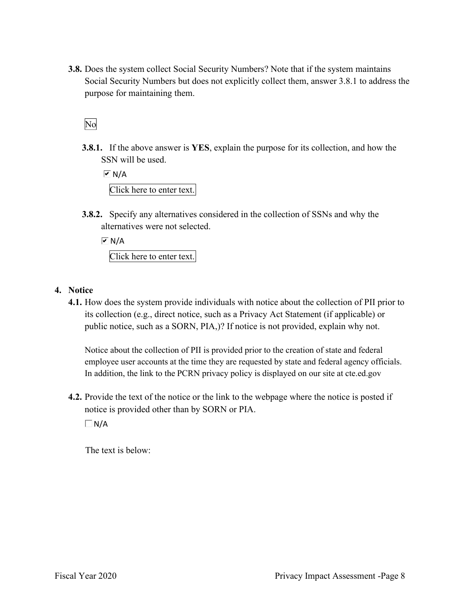purpose for maintaining them. **3.8.** Does the system collect Social Security Numbers? Note that if the system maintains Social Security Numbers but does not explicitly collect them, answer 3.8.1 to address the

No

**3.8.1.** If the above answer is **YES**, explain the purpose for its collection, and how the SSN will be used.

 $\overline{M}$  N/A Click here to enter text.

 alternatives were not selected. **3.8.2.** Specify any alternatives considered in the collection of SSNs and why the

 $\overline{M}$  N/A Click here to enter text.

## **4. Notice**

 **4.1.** How does the system provide individuals with notice about the collection of PII prior to public notice, such as a SORN, PIA,)? If notice is not provided, explain why not. its collection (e.g., direct notice, such as a Privacy Act Statement (if applicable) or

 Notice about the collection of PII is provided prior to the creation of state and federal employee user accounts at the time they are requested by state and federal agency officials. In addition, the link to the PCRN privacy policy is displayed on our site at [cte.ed.gov](https://cte.ed.gov)

 notice is provided other than by SORN or PIA. **4.2.** Provide the text of the notice or the link to the webpage where the notice is posted if

 $\Box$ N/A

The text is below: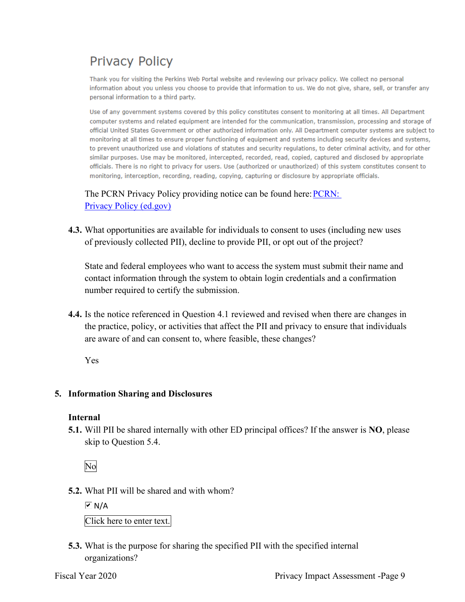# **Privacy Policy**

Thank you for visiting the Perkins Web Portal website and reviewing our privacy policy. We collect no personal information about you unless you choose to provide that information to us. We do not give, share, sell, or transfer any personal information to a third party.

Use of any government systems covered by this policy constitutes consent to monitoring at all times. All Department computer systems and related equipment are intended for the communication, transmission, processing and storage of official United States Government or other authorized information only. All Department computer systems are subject to monitoring at all times to ensure proper functioning of equipment and systems including security devices and systems, to prevent unauthorized use and violations of statutes and security requlations, to deter criminal activity, and for other similar purposes. Use may be monitored, intercepted, recorded, read, copied, captured and disclosed by appropriate officials. There is no right to privacy for users. Use (authorized or unauthorized) of this system constitutes consent to monitoring, interception, recording, reading, copying, capturing or disclosure by appropriate officials.

The PCRN Privacy Policy providing notice can be found here: **PCRN:** Privacy Policy (ed.gov)

 of previously collected PII), decline to provide PII, or opt out of the project? **4.3.** What opportunities are available for individuals to consent to uses (including new uses

 State and federal employees who want to access the system must submit their name and number required to certify the submission. contact information through the system to obtain login credentials and a confirmation

 are aware of and can consent to, where feasible, these changes? **4.4.** Is the notice referenced in Question 4.1 reviewed and revised when there are changes in the practice, policy, or activities that affect the PII and privacy to ensure that individuals

Yes

#### **5. Information Sharing and Disclosures**

#### **Internal**

 **5.1.** Will PII be shared internally with other ED principal offices? If the answer is **NO**, please skip to Question 5.4.

No

**5.2.** What PII will be shared and with whom?

 $\overline{M}$  N/A Click here to enter text.

**5.3.** What is the purpose for sharing the specified PII with the specified internal organizations?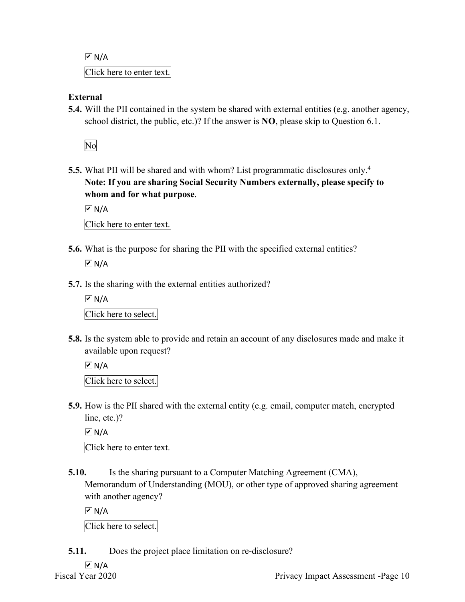$\sqrt{M}$  N/A Click here to enter text.

## **External**

 **5.4.** Will the PII contained in the system be shared with external entities (e.g. another agency, school district, the public, etc.)? If the answer is **NO**, please skip to Question 6.1.

No

 **Note: If you are sharing Social Security Numbers externally, please specify to 5.5.** What PII will be shared and with whom? List programmatic disclosures only.<sup>4</sup> **whom and for what purpose**.

 $\boxed{\triangleright}$  N/A Click here to enter text.

**5.6.** What is the purpose for sharing the PII with the specified external entities?

 $\overline{M}$  N/A

**5.7.** Is the sharing with the external entities authorized?

 $\overline{M}$  N/A Click here to select.

**5.8.** Is the system able to provide and retain an account of any disclosures made and make it available upon request?

 $\overline{M}$  N/A Click here to select.

 **5.9.** How is the PII shared with the external entity (e.g. email, computer match, encrypted line, etc.)?

 $\overline{M}$  N/A

Click here to enter text.

 Memorandum of Understanding (MOU), or other type of approved sharing agreement **5.10.** Is the sharing pursuant to a Computer Matching Agreement (CMA), with another agency?

 $\overline{M}$  N/A

Click here to select.

**5.11.** Does the project place limitation on re-disclosure?

 $\sqrt{M}$  N/A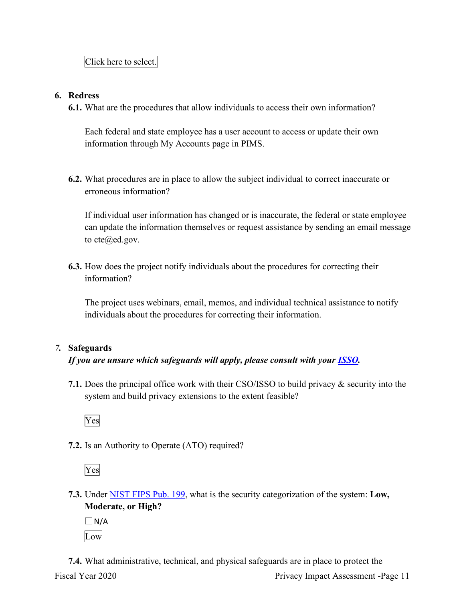#### **6. Redress**

**6.1.** What are the procedures that allow individuals to access their own information?

 Each federal and state employee has a user account to access or update their own information through My Accounts page in PIMS.

 **6.2.** What procedures are in place to allow the subject individual to correct inaccurate or erroneous information?

 If individual user information has changed or is inaccurate, the federal or state employee can update the information themselves or request assistance by sending an email message to  $cte@ed.gov.$  $cte@ed.gov.$ 

**6.3.** How does the project notify individuals about the procedures for correcting their information?

 The project uses webinars, email, memos, and individual technical assistance to notify individuals about the procedures for correcting their information.

## *7.* **Safeguards**

## *If you are unsure which safeguards will apply, please consult with your ISSO.*

 system and build privacy extensions to the extent feasible? **7.1.** Does the principal office work with their CSO/ISSO to build privacy & security into the



**7.2.** Is an Authority to Operate (ATO) required?

Yes

- **7.3.** Under NIST FIPS Pub. 199, what is the security categorization of the system: **Low, Moderate, or High?** 
	- $\Box$ N/A Low

**7.4.** What administrative, technical, and physical safeguards are in place to protect the Fiscal Year 2020 Privacy Impact Assessment -Page 11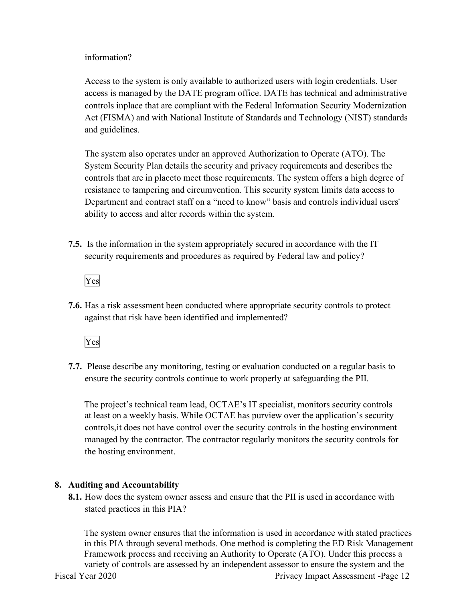#### information?

 access is managed by the DATE program office. DATE has technical and administrative controls inplace that are compliant with the Federal Information Security Modernization Act (FISMA) and with National Institute of Standards and Technology (NIST) standards and guidelines. Access to the system is only available to authorized users with login credentials. User

 The system also operates under an approved Authorization to Operate (ATO). The System Security Plan details the security and privacy requirements and describes the controls that are in placeto meet those requirements. The system offers a high degree of Department and contract staff on a "need to know" basis and controls individual users' ability to access and alter records within the system. resistance to tampering and circumvention. This security system limits data access to

 **7.5.** Is the information in the system appropriately secured in accordance with the IT security requirements and procedures as required by Federal law and policy?

Yes

 **7.6.** Has a risk assessment been conducted where appropriate security controls to protect against that risk have been identified and implemented?

Yes

 **7.7.** Please describe any monitoring, testing or evaluation conducted on a regular basis to ensure the security controls continue to work properly at safeguarding the PII.

 The project's technical team lead, OCTAE's IT specialist, monitors security controls at least on a weekly basis. While OCTAE has purview over the application's security the hosting environment. controls,it does not have control over the security controls in the hosting environment managed by the contractor. The contractor regularly monitors the security controls for

#### **8. Auditing and Accountability**

 **8.1.** How does the system owner assess and ensure that the PII is used in accordance with stated practices in this PIA?

 variety of controls are assessed by an independent assessor to ensure the system and the The system owner ensures that the information is used in accordance with stated practices in this PIA through several methods. One method is completing the ED Risk Management Framework process and receiving an Authority to Operate (ATO). Under this process a

Fiscal Year 2020 Privacy Impact Assessment -Page 12